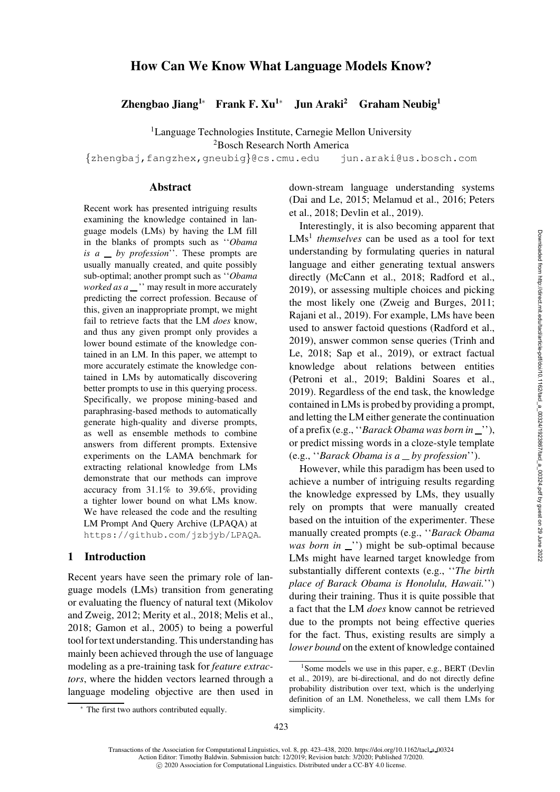# How Can We Know What Language Models Know?

Zhengbao Jiang<sup>1</sup>\* Frank F. Xu<sup>1</sup>\* Jun Araki<sup>2</sup> Graham Neubig<sup>1</sup>

<sup>1</sup>Language Technologies Institute, Carnegie Mellon University

<sup>2</sup>Bosch Research North America

{[zhengbaj,](mailto:zhengbaj@cs.cmu.edu)[fangzhex,](mailto:fangzhex@cs.cmu.edu)[gneubig](mailto:gneubig@cs.cmu.edu)}@cs.cmu.edu [jun.araki@us.bosch.com](mailto:jun.araki@us.bosch.com)

#### Abstract

Recent work has presented intriguing results examining the knowledge contained in language models (LMs) by having the LM fill in the blanks of prompts such as ''*Obama is a by profession*''. These prompts are usually manually created, and quite possibly sub-optimal; another prompt such as ''*Obama worked as a* \_ " may result in more accurately predicting the correct profession. Because of this, given an inappropriate prompt, we might fail to retrieve facts that the LM *does* know, and thus any given prompt only provides a lower bound estimate of the knowledge contained in an LM. In this paper, we attempt to more accurately estimate the knowledge contained in LMs by automatically discovering better prompts to use in this querying process. Specifically, we propose mining-based and paraphrasing-based methods to automatically generate high-quality and diverse prompts, as well as ensemble methods to combine answers from different prompts. Extensive experiments on the LAMA benchmark for extracting relational knowledge from LMs demonstrate that our methods can improve accuracy from 31.1% to 39.6%, providing a tighter lower bound on what LMs know. We have released the code and the resulting LM Prompt And Query Archive (LPAQA) at <https://github.com/jzbjyb/LPAQA>.

## 1 Introduction

Recent years have seen the primary role of language models (LMs) transition from generating or evaluating the fluency of natural text (Mikolov and Zweig, [2012](#page-13-0); Merity et al., 2018; Melis et al., 2018; [Gamon et al., 2005](#page-12-0)) to being a powerful tool for text understanding. This understanding has mainly been achieved through the use of language modeling as a pre-training task for *feature extractors*, where the hidden vectors learned through a language modeling objective are then used in down-stream language understanding systems [\(Dai and Le](#page-12-1)[,](#page-13-2) [2015;](#page-12-1) [Melamud et al.](#page-13-1)[,](#page-13-2) [2016](#page-13-1)[;](#page-13-2) Peters et al., [2018](#page-13-2); [Devlin et al.](#page-12-2), [2019\)](#page-12-2).

Interestingly, it is also becoming apparent that LMs<sup>[1](#page-0-0)</sup> *themselves* can be used as a tool for text understanding by formulating queries in natural language and either generating textual answers directly [\(McCann et al., 2018](#page-13-3); [Radford et al.,](#page-14-0) [2019](#page-14-0)), or assessing multiple choices and picking the most likely one [\(Zweig and Burges, 2011;](#page-15-0) [Rajani et al.](#page-14-1), [2019\)](#page-14-1). For example, LMs have been used to answer factoid questions [\(Radford et al.,](#page-14-0) [2019](#page-14-0)[\), answer common sense queries \(](#page-15-1)Trinh and Le, [2018](#page-15-1); [Sap et al., 2019\)](#page-14-2), or extract factual knowledge about relations between entities [\(Petroni et al., 2019;](#page-14-3) [Baldini Soares et al.,](#page-11-0) [2019](#page-11-0)). Regardless of the end task, the knowledge contained in LMs is probed by providing a prompt, and letting the LM either generate the continuation of a prefix (e.g., ''*Barack Obama was born in* ''), or predict missing words in a cloze-style template (e.g., ''*Barack Obama is a by profession*'').

However, while this paradigm has been used to achieve a number of intriguing results regarding the knowledge expressed by LMs, they usually rely on prompts that were manually created based on the intuition of the experimenter. These manually created prompts (e.g., ''*Barack Obama was born in* \_") might be sub-optimal because LMs might have learned target knowledge from substantially different contexts (e.g., ''*The birth place of Barack Obama is Honolulu, Hawaii.*'') during their training. Thus it is quite possible that a fact that the LM *does* know cannot be retrieved due to the prompts not being effective queries for the fact. Thus, existing results are simply a *lower bound* on the extent of knowledge contained

<span id="page-0-0"></span><sup>&</sup>lt;sup>1</sup>[Some models we use in this paper, e.g., BERT \(](#page-12-2)Devlin et al., [2019\)](#page-12-2), are bi-directional, and do not directly define probability distribution over text, which is the underlying definition of an LM. Nonetheless, we call them LMs for simplicity.

<sup>∗</sup> The first two authors contributed equally.

Transactions of the Association for Computational Linguistics, vol. 8, pp. 423–438, 2020. [https://doi.org/10.1162/tacl](https://doi.org/10.1162/tacl_a_00324) a 00324 Action Editor: Timothy Baldwin. Submission batch: 12/2019; Revision batch: 3/2020; Published 7/2020. c 2020 Association for Computational Linguistics. Distributed under a CC-BY 4.0 license.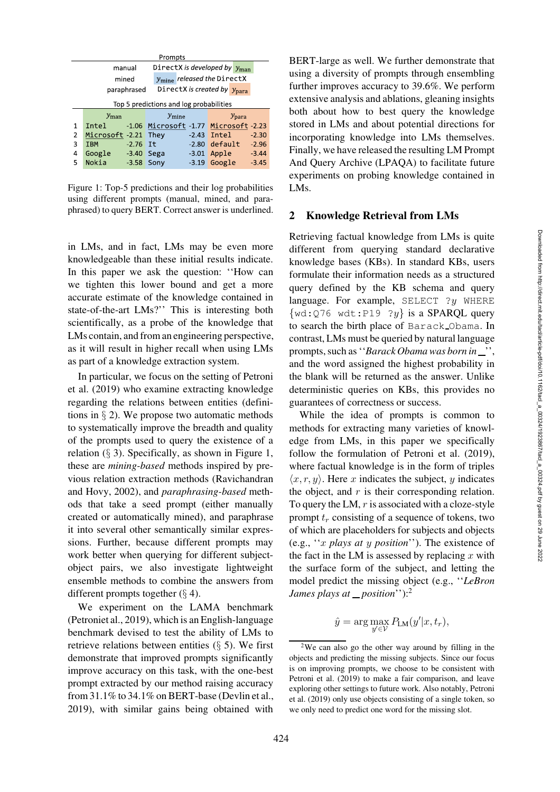| Prompts                                         |                                                    |                                         |                                       |  |  |  |
|-------------------------------------------------|----------------------------------------------------|-----------------------------------------|---------------------------------------|--|--|--|
|                                                 | DirectX is developed by $y_{\text{man}}$<br>manual |                                         |                                       |  |  |  |
| $y_{\text{mine}}$ released the DirectX<br>mined |                                                    |                                         |                                       |  |  |  |
|                                                 | paraphrased                                        | DirectX is created by $y_{\text{para}}$ |                                       |  |  |  |
|                                                 | Top 5 predictions and log probabilities            |                                         |                                       |  |  |  |
|                                                 | $y_{\rm man}$                                      | $y_{\rm mine}$                          | $y_{\rm para}$                        |  |  |  |
| 1                                               | Intel                                              |                                         | -1.06 Microsoft -1.77 Microsoft -2.23 |  |  |  |
| 2                                               | Microsoft -2.21 They                               |                                         | $-2.43$ Intel<br>$-2.30$              |  |  |  |
| 3                                               | $-2.76$ It<br><b>IBM</b>                           |                                         | $-2.80$ default<br>$-2.96$            |  |  |  |
| 4                                               | Google<br>$-3.40$ Sega                             | $-3.01$                                 | Apple<br>$-3.44$                      |  |  |  |
| 5                                               | Nokia<br>$-3.58$                                   | Sony<br>$-3.19$                         | Google<br>$-3.45$                     |  |  |  |

<span id="page-1-1"></span>Figure 1: Top-5 predictions and their log probabilities using different prompts (manual, mined, and paraphrased) to query BERT. Correct answer is underlined.

in LMs, and in fact, LMs may be even more knowledgeable than these initial results indicate. In this paper we ask the question: ''How can we tighten this lower bound and get a more accurate estimate of the knowledge contained in state-of-the-art LMs?'' This is interesting both scientifically, as a probe of the knowledge that LMs contain, and from an engineering perspective, as it will result in higher recall when using LMs as part of a knowledge extraction system.

In [particular, we focus on the setting of](#page-14-3) Petroni et al. [\(2019\)](#page-14-3) who examine extracting knowledge regarding the relations between entities (definitions in  $\S$  [2\)](#page-1-0). We propose two automatic methods to systematically improve the breadth and quality of the prompts used to query the existence of a relation  $(\S$  [3\)](#page-2-0). Specifically, as shown in [Figure 1,](#page-1-1) these are *mining-based* methods inspired by previous rel[ation extraction methods \(](#page-14-4)Ravichandran and Hovy, [2002](#page-14-4)), and *paraphrasing-based* methods that take a seed prompt (either manually created or automatically mined), and paraphrase it into several other semantically similar expressions. Further, because different prompts may work better when querying for different subjectobject pairs, we also investigate lightweight ensemble methods to combine the answers from different prompts together  $(\S 4)$  $(\S 4)$ .

We experiment on the LAMA benchmark (Petroniet al., [2019\)](#page-14-3), which is an English-language benchmark devised to test the ability of LMs to retrieve relations between entities  $(\S$  [5\)](#page-3-1). We first demonstrate that improved prompts significantly improve accuracy on this task, with the one-best prompt extracted by our method raising accuracy from 31.1% to 34.1% on BERT-base [\(Devlin et al.,](#page-12-2) [2019](#page-12-2)), with similar gains being obtained with

BERT-large as well. We further demonstrate that using a diversity of prompts through ensembling further improves accuracy to 39.6%. We perform extensive analysis and ablations, gleaning insights both about how to best query the knowledge stored in LMs and about potential directions for incorporating knowledge into LMs themselves. Finally, we have released the resulting LM Prompt And Query Archive (LPAQA) to facilitate future experiments on probing knowledge contained in LMs.

## <span id="page-1-0"></span>2 Knowledge Retrieval from LMs

Retrieving factual knowledge from LMs is quite different from querying standard declarative knowledge bases (KBs). In standard KBs, users formulate their information needs as a structured query defined by the KB schema and query language. For example, SELECT  $?y$  WHERE  $\{wd:Q76 \text{ wdt}:P19 \text{ ?}y\}$  is a SPARQL query to search the birth place of Barack Obama. In contrast, LMs must be queried by natural language prompts, such as "*Barack Obama was born in* "...", and the word assigned the highest probability in the blank will be returned as the answer. Unlike deterministic queries on KBs, this provides no guarantees of correctness or success.

While the idea of prompts is common to methods for extracting many varieties of knowledge from LMs, in this paper we specifically follow the formulation of [Petroni et al. \(2019](#page-14-3)), where factual knowledge is in the form of triples  $\langle x, r, y \rangle$ . Here x indicates the subject, y indicates the object, and  $r$  is their corresponding relation. To query the LM,  $r$  is associated with a cloze-style prompt  $t_r$  consisting of a sequence of tokens, two of which are placeholders for subjects and objects (e.g., ''x *plays at* y *position*''). The existence of the fact in the LM is assessed by replacing  $x$  with the surface form of the subject, and letting the model predict the missing object (e.g., ''*LeBron James plays at \_position*''):<sup>[2](#page-1-2)</sup>

$$
\hat{y} = \arg\max_{y' \in \mathcal{V}} P_{\text{LM}}(y'|x, t_r),
$$

<span id="page-1-2"></span><sup>2</sup>We can also go the other way around by filling in the objects and predicting the missing subjects. Since our focus is on improving prompts, we choose to be consistent with [Petroni et al.](#page-14-3) [\(2019](#page-14-3)) to make a fair comparison, and leave expl[oring other settings to future work. Also notably,](#page-14-3) Petroni et al. [\(2019\)](#page-14-3) only use objects consisting of a single token, so we only need to predict one word for the missing slot.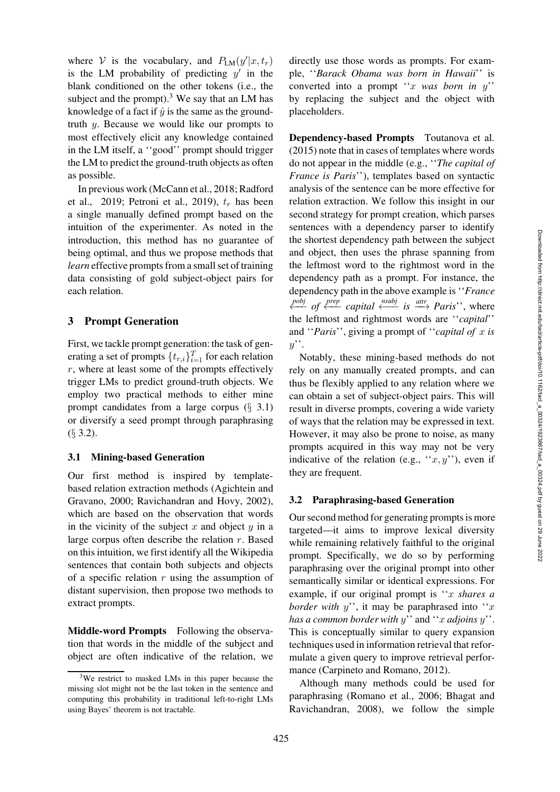where V is the vocabulary, and  $P_{LM}(y'|x, t_r)$ is the LM probability of predicting  $y'$  in the blank conditioned on the other tokens (i.e., the subject and the prompt). $3$  We say that an LM has knowledge of a fact if  $\hat{y}$  is the same as the groundtruth y. Because we would like our prompts to most effectively elicit any knowledge contained in the LM itself, a ''good'' prompt should trigger the LM to predict the ground-truth objects as often as possible.

In previous work [\(McCann et al.](#page-13-3), [2018](#page-13-3); Radford et al., [2019](#page-14-0); [Petroni et al., 2019](#page-14-3)),  $t_r$  has been a single manually defined prompt based on the intuition of the experimenter. As noted in the introduction, this method has no guarantee of being optimal, and thus we propose methods that *learn* effective prompts from a small set of training data consisting of gold subject-object pairs for each relation.

#### <span id="page-2-0"></span>3 Prompt Generation

First, we tackle prompt generation: the task of generating a set of prompts  $\{t_{r,i}\}_{i=1}^T$  for each relation  $r$ , where at least some of the prompts effectively trigger LMs to predict ground-truth objects. We employ two practical methods to either mine prompt candidates from a large corpus  $(\S$  [3.1\)](#page-2-2) or diversify a seed prompt through paraphrasing (§ [3.2\)](#page-2-3).

### <span id="page-2-2"></span>3.1 Mining-based Generation

Our first method is inspired by templatebased re[lation extraction methods \(](#page-11-1)Agichtein and Gravano, [2000;](#page-11-1) [Ravichandran and Hovy](#page-14-4), [2002\)](#page-14-4), which are based on the observation that words in the vicinity of the subject  $x$  and object  $y$  in a large corpus often describe the relation  $r$ . Based on this intuition, we first identify all the Wikipedia sentences that contain both subjects and objects of a specific relation  $r$  using the assumption of distant supervision, then propose two methods to extract prompts.

Middle-word Prompts Following the observation that words in the middle of the subject and object are often indicative of the relation, we directly use those words as prompts. For example, ''*Barack Obama was born in Hawaii*'' is converted into a prompt ''x *was born in* y'' by replacing the subject and the object with placeholders.

<span id="page-2-4"></span>[Dependency-based Prompts](#page-2-4) Toutanova et al. [\(2015](#page-14-5)) note that in cases of templates where words do not appear in the middle (e.g., ''*The capital of France is Paris*''), templates based on syntactic analysis of the sentence can be more effective for relation extraction. We follow this insight in our second strategy for prompt creation, which parses sentences with a dependency parser to identify the shortest dependency path between the subject and object, then uses the phrase spanning from the leftmost word to the rightmost word in the dependency path as a prompt. For instance, the dependency path in the above example is ''*France pobj of*  $\frac{prep}{\leftarrow}$  *capital*  $\frac{�\cdot \cdot \cdot \cdot}{\leftarrow}$  *is*  $\frac{attr}{\rightarrow}$  *Paris*'', where the leftmost and rightmost words are ''*capital*'' and ''*Paris*'', giving a prompt of ''*capital of* x *is*  $y'$ .

Notably, these mining-based methods do not rely on any manually created prompts, and can thus be flexibly applied to any relation where we can obtain a set of subject-object pairs. This will result in diverse prompts, covering a wide variety of ways that the relation may be expressed in text. However, it may also be prone to noise, as many prompts acquired in this way may not be very indicative of the relation (e.g., " $x, y$ "), even if they are frequent.

#### <span id="page-2-3"></span>3.2 Paraphrasing-based Generation

Our second method for generating prompts is more targeted—it aims to improve lexical diversity while remaining relatively faithful to the original prompt. Specifically, we do so by performing paraphrasing over the original prompt into other semantically similar or identical expressions. For example, if our original prompt is ''x *shares a border with*  $y''$ , it may be paraphrased into "x" *has a common border with* y'' and ''x *adjoins* y''. This is conceptually similar to query expansion techniques used in information retrieval that reformulate a given query to improve retrieval performance [\(Carpineto and Romano](#page-12-3), [2012](#page-12-3)).

Although many methods could be used for paraphrasing [\(Romano et al.](#page-14-6)[,](#page-11-2) [2006;](#page-14-6) Bhagat and Ravichandran, [2008\)](#page-11-2), we follow the simple

<span id="page-2-1"></span><sup>3</sup>We restrict to masked LMs in this paper because the missing slot might not be the last token in the sentence and computing this probability in traditional left-to-right LMs using Bayes' theorem is not tractable.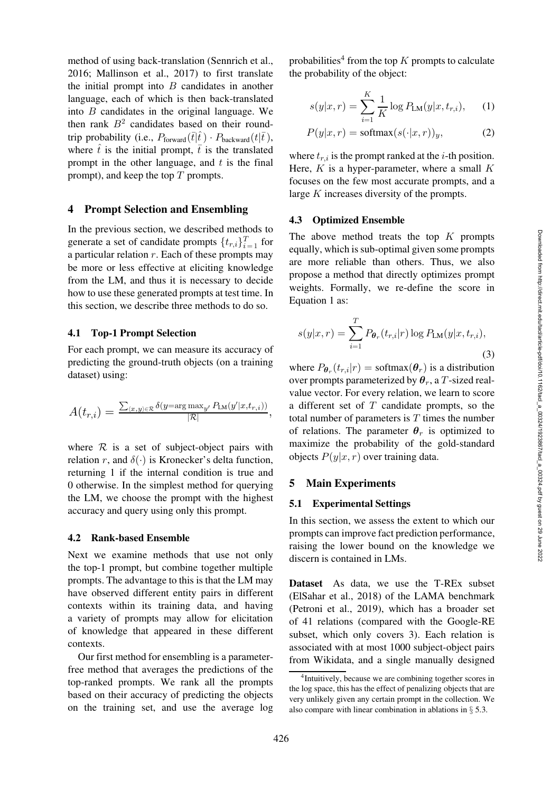method of using back-translation [\(Sennrich et al.,](#page-14-7) [2016](#page-14-7); [Mallinson et al., 2017\)](#page-13-4) to first translate the initial prompt into  $B$  candidates in another language, each of which is then back-translated into B candidates in the original language. We then rank  $B<sup>2</sup>$  candidates based on their roundtrip probability (i.e.,  $P_{\text{forward}}(\bar{t}|\hat{t}) \cdot P_{\text{backward}}(t|\bar{t}),$ where  $\hat{t}$  is the initial prompt,  $\bar{t}$  is the translated prompt in the other language, and  $t$  is the final prompt), and keep the top  $T$  prompts.

#### <span id="page-3-0"></span>4 Prompt Selection and Ensembling

In the previous section, we described methods to generate a set of candidate prompts  $\{t_{r,i}\}_{i=1}^T$  for a particular relation  $r$ . Each of these prompts may be more or less effective at eliciting knowledge from the LM, and thus it is necessary to decide how to use these generated prompts at test time. In this section, we describe three methods to do so.

#### 4.1 Top-1 Prompt Selection

For each prompt, we can measure its accuracy of predicting the ground-truth objects (on a training dataset) using:

$$
A(t_{r,i}) = \frac{\sum_{\langle x,y \rangle \in \mathcal{R}} \delta(y = \arg \max_{y'} P_{\text{LM}}(y'|x, t_{r,i}))}{|\mathcal{R}|},
$$

where  $R$  is a set of subject-object pairs with relation r, and  $\delta(\cdot)$  is Kronecker's delta function, returning 1 if the internal condition is true and 0 otherwise. In the simplest method for querying the LM, we choose the prompt with the highest accuracy and query using only this prompt.

#### <span id="page-3-4"></span>4.2 Rank-based Ensemble

Next we examine methods that use not only the top-1 prompt, but combine together multiple prompts. The advantage to this is that the LM may have observed different entity pairs in different contexts within its training data, and having a variety of prompts may allow for elicitation of knowledge that appeared in these different contexts.

Our first method for ensembling is a parameterfree method that averages the predictions of the top-ranked prompts. We rank all the prompts based on their accuracy of predicting the objects on the training set, and use the average log

probabilities<sup>[4](#page-3-2)</sup> from the top K prompts to calculate the probability of the object:

<span id="page-3-3"></span>
$$
s(y|x,r) = \sum_{i=1}^{K} \frac{1}{K} \log P_{LM}(y|x, t_{r,i}), \quad (1)
$$

$$
P(y|x,r) = \text{softmax}(s(\cdot|x,r))_y,\tag{2}
$$

where  $t_{r,i}$  is the prompt ranked at the *i*-th position. Here,  $K$  is a hyper-parameter, where a small  $K$ focuses on the few most accurate prompts, and a large K increases diversity of the prompts.

#### <span id="page-3-5"></span>4.3 Optimized Ensemble

The above method treats the top  $K$  prompts equally, which is sub-optimal given some prompts are more reliable than others. Thus, we also propose a method that directly optimizes prompt weights. Formally, we re-define the score in Equation [1](#page-3-3) as:

<span id="page-3-6"></span>
$$
s(y|x,r) = \sum_{i=1}^{T} P_{\theta_r}(t_{r,i}|r) \log P_{LM}(y|x,t_{r,i}),
$$
\n(3)

where  $P_{\theta_r}(t_{r,i}|r) = \text{softmax}(\theta_r)$  is a distribution over prompts parameterized by  $\theta_r$ , a T-sized realvalue vector. For every relation, we learn to score a different set of  $T$  candidate prompts, so the total number of parameters is  $T$  times the number of relations. The parameter  $\theta_r$  is optimized to maximize the probability of the gold-standard objects  $P(y|x, r)$  over training data.

#### <span id="page-3-1"></span>5 Main Experiments

#### 5.1 Experimental Settings

In this section, we assess the extent to which our prompts can improve fact prediction performance, raising the lower bound on the knowledge we discern is contained in LMs.

Dataset As data, we use the T-REx subset [\(ElSahar et al., 2018\)](#page-12-4) of the LAMA benchmark [\(Petroni et al., 2019\)](#page-14-3), which has a broader set of 41 relations (compared with the Google-RE subset, which only covers 3). Each relation is associated with at most 1000 subject-object pairs from Wikidata, and a single manually designed

<span id="page-3-2"></span><sup>4</sup> Intuitively, because we are combining together scores in the log space, this has the effect of penalizing objects that are very unlikely given any certain prompt in the collection. We also compare with linear combination in ablations in § [5.3.](#page-9-0)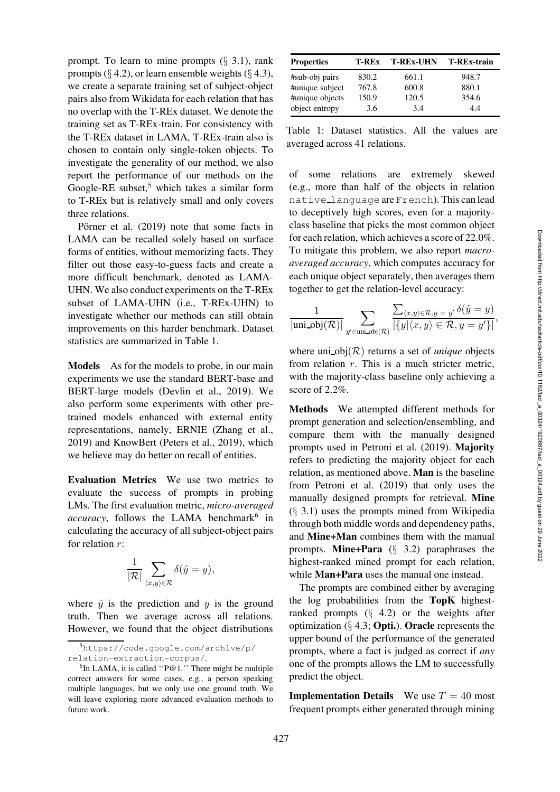prompt. To learn to mine prompts  $(\S$  [3.1\)](#page-2-2), rank prompts ( $\S$  [4.2\)](#page-3-4), or learn ensemble weights ( $\S$  [4.3\)](#page-3-5), we create a separate training set of subject-object pairs also from Wikidata for each relation that has no overlap with the T-REx dataset. We denote the training set as T-REx-train. For consistency with the T-REx dataset in LAMA, T-REx-train also is chosen to contain only single-token objects. To investigate the generality of our method, we also report the performance of our methods on the Google-RE subset,<sup>[5](#page-4-0)</sup> which takes a similar form to T-REx but is relatively small and only covers [three relations.](#page-14-8)

Pörner et al. [\(2019](#page-14-8)) note that some facts in LAMA can be recalled solely based on surface forms of entities, without memorizing facts. They filter out those easy-to-guess facts and create a more difficult benchmark, denoted as LAMA-UHN. We also conduct experiments on the T-REx subset of LAMA-UHN (i.e., T-REx-UHN) to investigate whether our methods can still obtain improvements on this harder benchmark. Dataset statistics are summarized in [Table 1.](#page-4-1)

Models As for the models to probe, in our main experiments we use the standard BERT-base and BERT-large models [\(Devlin et al.](#page-12-2), [2019](#page-12-2)). We also perform some experiments with other pretrained models enhanced with external entity representations, namely, ERNIE [\(Zhang et al.,](#page-15-2) [2019](#page-15-2)) and KnowBert [\(Peters et al.](#page-13-5), [2019\)](#page-13-5), which we believe may do better on recall of entities.

Evaluation Metrics We use two metrics to evaluate the success of prompts in probing LMs. The first evaluation metric, *micro-averaged* accuracy, follows the LAMA benchmark<sup>[6](#page-4-2)</sup> in calculating the accuracy of all subject-object pairs for relation  $r$ :

$$
\frac{1}{|\mathcal{R}|} \sum_{\langle x,y \rangle \in \mathcal{R}} \delta(\hat{y} = y),
$$

where  $\hat{y}$  is the prediction and y is the ground truth. Then we average across all relations. However, we found that the object distributions

| <b>Properties</b> | T-REx | <b>T-REx-UHN</b> | <b>T-REx-train</b> |
|-------------------|-------|------------------|--------------------|
| #sub-obj pairs    | 830.2 | 661.1            | 948.7              |
| #unique subject   | 767.8 | 600.8            | 880.1              |
| #unique objects   | 150.9 | 120.5            | 354.6              |
| object entropy    | 3.6   | 3.4              | 4.4                |

<span id="page-4-1"></span>Table 1: Dataset statistics. All the values are averaged across 41 relations.

of some relations are extremely skewed (e.g., more than half of the objects in relation native language are French). This can lead to deceptively high scores, even for a majorityclass baseline that picks the most common object for each relation, which achieves a score of 22.0%. To mitigate this problem, we also report *macroaveraged accuracy*, which computes accuracy for each unique object separately, then averages them together to get the relation-level accuracy:

$$
\frac{1}{|\text{uni\_obj}(\mathcal{R})|} \sum_{y' \in \text{uni\_obj}(\mathcal{R})} \frac{\sum_{\langle x, y \rangle \in \mathcal{R}, y = y'} \delta(\hat{y} = y)}{\left|\{y | \langle x, y \rangle \in \mathcal{R}, y = y'\}\right|},
$$

where  $\text{uni\_obj}(\mathcal{R})$  returns a set of *unique* objects from relation  $r$ . This is a much stricter metric, with the majority-class baseline only achieving a score of 2.2%.

Methods We attempted different methods for prompt generation and selection/ensembling, and compare them with the manually designed prompts used in [Petroni et al.](#page-14-3) [\(2019](#page-14-3)). Majority refers to predicting the majority object for each relation, as mentioned above. Man is the baseline from [Petroni et al. \(2019](#page-14-3)) that only uses the manually designed prompts for retrieval. Mine  $(\S$  [3.1\)](#page-2-2) uses the prompts mined from Wikipedia through both middle words and dependency paths, and Mine+Man combines them with the manual prompts. **Mine+Para**  $(\S$  [3.2\)](#page-2-3) paraphrases the highest-ranked mined prompt for each relation, while **Man+Para** uses the manual one instead.

The prompts are combined either by averaging the log probabilities from the TopK highestranked prompts  $(\S$  [4.2\)](#page-3-4) or the weights after optimization  $(\S 4.3;$  $(\S 4.3;$  **Opti.**). **Oracle** represents the upper bound of the performance of the generated prompts, where a fact is judged as correct if *any* one of the prompts allows the LM to successfully predict the object.

**Implementation Details** We use  $T = 40$  most frequent prompts either generated through mining

<span id="page-4-0"></span><sup>5</sup>[https://code.google.com/archive/p/](https://code.google.com/archive/p/relation-extraction-corpus/) [relation-extraction-corpus/](https://code.google.com/archive/p/relation-extraction-corpus/).

<span id="page-4-2"></span><sup>6</sup> In LAMA, it is called ''P@1.'' There might be multiple correct answers for some cases, e.g., a person speaking multiple languages, but we only use one ground truth. We will leave exploring more advanced evaluation methods to future work.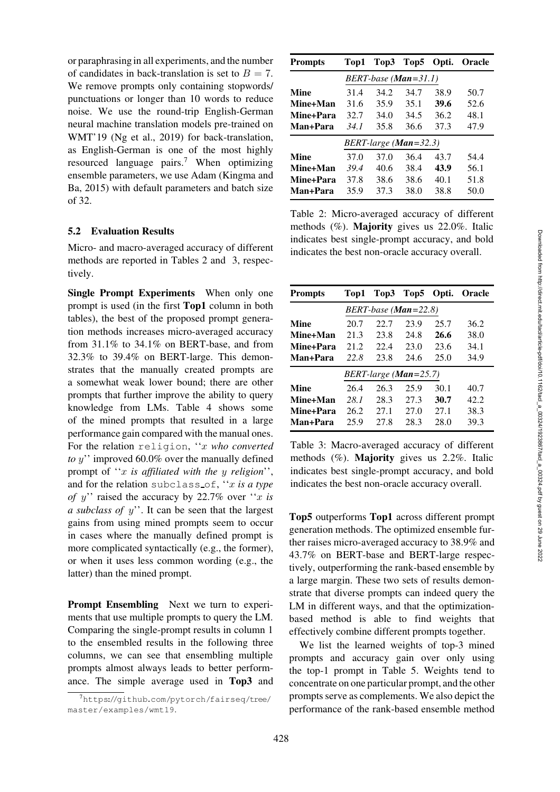or paraphrasing in all experiments, and the number of candidates in back-translation is set to  $B = 7$ . We remove prompts only containing stopwords/ punctuations or longer than 10 words to reduce noise. We use the round-trip English-German neural machine translation models pre-trained on WMT'19 [\(Ng et al.](#page-13-6), [2019\)](#page-13-6) for back-translation, as English-German is one of the most highly resourced language pairs.[7](#page-5-0) When optimizing en[semble parameters, we use Adam \(](#page-13-7)Kingma and Ba, [2015](#page-13-7)) with default parameters and batch size of 32.

### 5.2 Evaluation Results

Micro- and macro-averaged accuracy of different methods are reported in [Tables 2](#page-5-1) and [3,](#page-5-2) respectively.

Single Prompt Experiments When only one prompt is used (in the first Top1 column in both tables), the best of the proposed prompt generation methods increases micro-averaged accuracy from 31.1% to 34.1% on BERT-base, and from 32.3% to 39.4% on BERT-large. This demonstrates that the manually created prompts are a somewhat weak lower bound; there are other prompts that further improve the ability to query knowledge from LMs. [Table 4](#page-6-0) shows some of the mined prompts that resulted in a large performance gain compared with the manual ones. For the relation religion, ''x *who converted to* y'' improved 60.0% over the manually defined prompt of ''x *is affiliated with the* y *religion*'', and for the relation subclass of, ''x *is a type of* y'' raised the accuracy by 22.7% over ''x *is a subclass of* y''. It can be seen that the largest gains from using mined prompts seem to occur in cases where the manually defined prompt is more complicated syntactically (e.g., the former), or when it uses less common wording (e.g., the latter) than the mined prompt.

Prompt Ensembling Next we turn to experiments that use multiple prompts to query the LM. Comparing the single-prompt results in column 1 to the ensembled results in the following three columns, we can see that ensembling multiple prompts almost always leads to better performance. The simple average used in Top3 and

| <b>Prompts</b> | Top1 | Top3 | Top5                   |      | Opti. Oracle |
|----------------|------|------|------------------------|------|--------------|
|                |      |      | $BERT-base (Man=31.1)$ |      |              |
| Mine           | 31.4 | 34.2 | 34.7                   | 38.9 | 50.7         |
| Mine+Man       | 31.6 | 35.9 | 35.1                   | 39.6 | 52.6         |
| Mine+Para      | 32.7 | 34.0 | 34.5                   | 36.2 | 48.1         |
| Man+Para       | 34.1 | 35.8 | 36.6                   | 37.3 | 47.9         |
|                |      |      | BERT-large (Man=32.3)  |      |              |
| Mine           | 37.0 | 37.O | 36.4                   | 43.7 | 54.4         |
| Mine+Man       | 39.4 | 40.6 | 38.4                   | 43.9 | 56.1         |
| Mine+Para      | 37.8 | 38.6 | 38.6                   | 40.1 | 51.8         |
| Man+Para       | 35.9 | 37.3 | 38.0                   | 38.8 | 50.0         |

<span id="page-5-1"></span>Table 2: Micro-averaged accuracy of different methods (%). Majority gives us 22.0%. Italic indicates best single-prompt accuracy, and bold indicates the best non-oracle accuracy overall.

| <b>Prompts</b> | Top1 | Top3 |                          | Top5 Opti. | <b>Oracle</b> |
|----------------|------|------|--------------------------|------------|---------------|
|                |      |      | $BERT-base (Man=22.8)$   |            |               |
| Mine           | 20.7 | 22.7 | 23.9                     | 25.7       | 36.2          |
| Mine+Man       | 21.3 | 23.8 | 24.8                     | 26.6       | 38.0          |
| Mine+Para      | 212  | 22.4 | 23.0                     | 23.6       | 34.1          |
| Man+Para       | 22.8 | 23.8 | 24.6                     | 25.0       | 34.9          |
|                |      |      | $BERT$ -large (Man=25.7) |            |               |
| Mine           | 26.4 | 26.3 | 25.9                     | 30.1       | 40.7          |
| Mine+Man       | 28.1 | 28.3 | 27.3                     | 30.7       | 42.2          |
| Mine+Para      | 26.2 | 27.1 | 27.0                     | 27.1       | 38.3          |
| Man+Para       | 25.9 | 27.8 | 28.3                     | 28.0       | 39.3          |

<span id="page-5-2"></span>Table 3: Macro-averaged accuracy of different methods (%). Majority gives us 2.2%. Italic indicates best single-prompt accuracy, and bold indicates the best non-oracle accuracy overall.

Top5 outperforms Top1 across different prompt generation methods. The optimized ensemble further raises micro-averaged accuracy to 38.9% and 43.7% on BERT-base and BERT-large respectively, outperforming the rank-based ensemble by a large margin. These two sets of results demonstrate that diverse prompts can indeed query the LM in different ways, and that the optimizationbased method is able to find weights that effectively combine different prompts together.

We list the learned weights of top-3 mined prompts and accuracy gain over only using the top-1 prompt in [Table 5.](#page-6-1) Weights tend to concentrate on one particular prompt, and the other prompts serve as complements. We also depict the performance of the rank-based ensemble method

<span id="page-5-0"></span><sup>7</sup>[https://github.com/pytorch/fairseq/tree/](https://github.com/pytorch/fairseq/tree/master/examples/wmt19) [master/examples/wmt19](https://github.com/pytorch/fairseq/tree/master/examples/wmt19).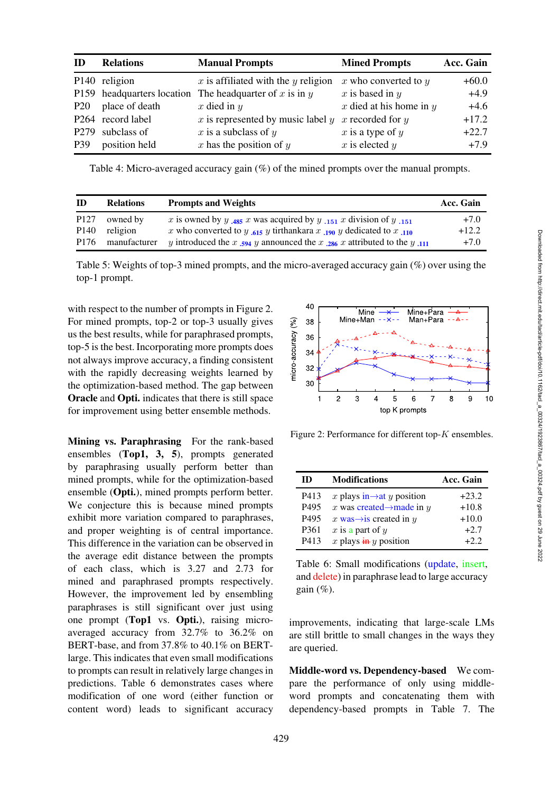| TD.             | <b>Relations</b>          | <b>Manual Prompts</b>                                   | <b>Mined Prompts</b>        | Acc. Gain |
|-----------------|---------------------------|---------------------------------------------------------|-----------------------------|-----------|
|                 | P <sub>140</sub> religion | $x$ is affiliated with the $y$ religion                 | x who converted to $y$      | $+60.0$   |
|                 |                           | P159 headquarters location The headquarter of x is in y | x is based in $y$           | $+4.9$    |
| P <sub>20</sub> | place of death            | x died in $y$                                           | $x$ died at his home in $y$ | $+4.6$    |
|                 | P264 record label         | $x$ is represented by music label $y$                   | x recorded for $y$          | $+17.2$   |
|                 | P279 subclass of          | x is a subclass of $y$                                  | $x$ is a type of $y$        | $+22.7$   |
| P39             | position held             | $x$ has the position of $y$                             | $x$ is elected $y$          | $+7.9$    |

<span id="page-6-0"></span>Table 4: Micro-averaged accuracy gain (%) of the mined prompts over the manual prompts.

| ID               | <b>Relations</b> | <b>Prompts and Weights</b>                                                                                       | Acc. Gain |
|------------------|------------------|------------------------------------------------------------------------------------------------------------------|-----------|
| P <sub>127</sub> | owned by         | x is owned by y 485 x was acquired by y $151$ x division of y $151$                                              | $+7.0$    |
| P <sub>140</sub> | religion         | x who converted to y $\mathcal{L}_{15}$ y tirthankara x $\mathcal{L}_{190}$ y dedicated to x $\mathcal{L}_{110}$ | $+12.2$   |
| P176             | manufacturer     | y introduced the x $\mathbf{594}$ y announced the x $\mathbf{286}$ x attributed to the y $\mathbf{111}$          | $+7.0$    |

<span id="page-6-1"></span>Table 5: Weights of top-3 mined prompts, and the micro-averaged accuracy gain (%) over using the top-1 prompt.

with respect to the number of prompts in [Figure 2.](#page-6-2) For mined prompts, top-2 or top-3 usually gives us the best results, while for paraphrased prompts, top-5 is the best. Incorporating more prompts does not always improve accuracy, a finding consistent with the rapidly decreasing weights learned by the optimization-based method. The gap between Oracle and Opti. indicates that there is still space for improvement using better ensemble methods.

Mining vs. Paraphrasing For the rank-based ensembles (Top1, 3, 5), prompts generated by paraphrasing usually perform better than mined prompts, while for the optimization-based ensemble (Opti.), mined prompts perform better. We conjecture this is because mined prompts exhibit more variation compared to paraphrases, and proper weighting is of central importance. This difference in the variation can be observed in the average edit distance between the prompts of each class, which is 3.27 and 2.73 for mined and paraphrased prompts respectively. However, the improvement led by ensembling paraphrases is still significant over just using one prompt (Top1 vs. Opti.), raising microaveraged accuracy from 32.7% to 36.2% on BERT-base, and from 37.8% to 40.1% on BERTlarge. This indicates that even small modifications to prompts can result in relatively large changes in predictions. [Table 6](#page-6-3) demonstrates cases where modification of one word (either function or content word) leads to significant accuracy



<span id="page-6-2"></span>Figure 2: Performance for different top-K ensembles.

| ID               | <b>Modifications</b>                   | Acc. Gain |
|------------------|----------------------------------------|-----------|
| P413             | x plays in $\rightarrow$ at y position | $+23.2$   |
| P495             | x was created $\rightarrow$ made in y  | $+10.8$   |
| P495             | x was $\rightarrow$ is created in y    | $+10.0$   |
| P <sub>361</sub> | $x$ is a part of $y$                   | $+2.7$    |
| P413             | x plays $\frac{1}{2}$ y position       | $+2.2$    |

<span id="page-6-3"></span>Table 6: Small modifications (update, insert, and delete) in paraphrase lead to large accuracy gain  $(\%)$ .

improvements, indicating that large-scale LMs are still brittle to small changes in the ways they are queried.

Middle-word vs. Dependency-based We compare the performance of only using middleword prompts and concatenating them with dependency-based prompts in [Table 7.](#page-7-0) The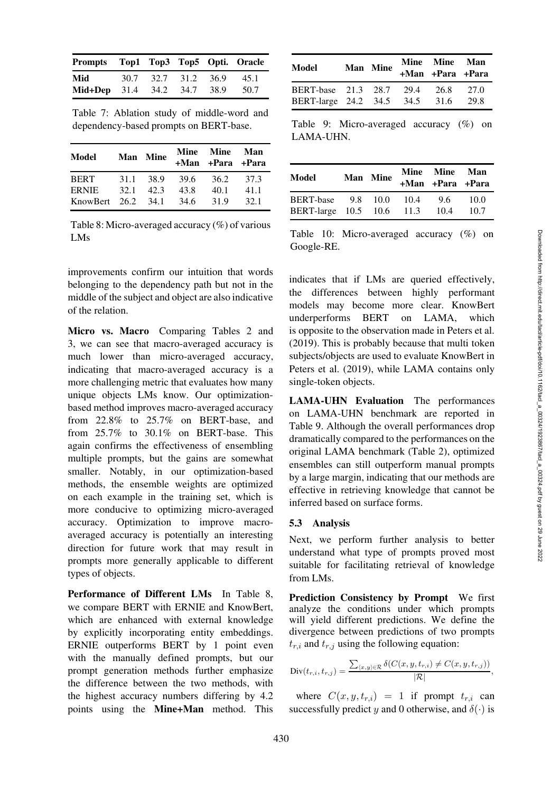<span id="page-7-0"></span>Table 7: Ablation study of middle-word and dependency-based prompts on BERT-base.

| Model                | Man Mine      |      | Mine Mine Man<br>+Man +Para +Para |      |
|----------------------|---------------|------|-----------------------------------|------|
| <b>BERT</b>          | 31.1 38.9     | 39.6 | 36.2                              | 37.3 |
| <b>ERNIE</b>         | $32.1$ $42.3$ | 43.8 | 40.1                              | 41.1 |
| KnowBert $26.2$ 34.1 |               | 34.6 | 31.9                              | 32.1 |

<span id="page-7-1"></span>Table 8: Micro-averaged accuracy (%) of various LMs

improvements confirm our intuition that words belonging to the dependency path but not in the middle of the subject and object are also indicative of the relation.

Micro vs. Macro Comparing [Tables 2](#page-5-1) and [3,](#page-5-2) we can see that macro-averaged accuracy is much lower than micro-averaged accuracy, indicating that macro-averaged accuracy is a more challenging metric that evaluates how many unique objects LMs know. Our optimizationbased method improves macro-averaged accuracy from 22.8% to 25.7% on BERT-base, and from 25.7% to 30.1% on BERT-base. This again confirms the effectiveness of ensembling multiple prompts, but the gains are somewhat smaller. Notably, in our optimization-based methods, the ensemble weights are optimized on each example in the training set, which is more conducive to optimizing micro-averaged accuracy. Optimization to improve macroaveraged accuracy is potentially an interesting direction for future work that may result in prompts more generally applicable to different types of objects.

Performance of Different LMs In [Table 8,](#page-7-1) we compare BERT with ERNIE and KnowBert, which are enhanced with external knowledge by explicitly incorporating entity embeddings. ERNIE outperforms BERT by 1 point even with the manually defined prompts, but our prompt generation methods further emphasize the difference between the two methods, with the highest accuracy numbers differing by 4.2 points using the Mine+Man method. This

| Model                                                                | Man Mine | Mine Mine Man<br>+Man +Para +Para |       |
|----------------------------------------------------------------------|----------|-----------------------------------|-------|
| BERT-base 21.3 28.7 29.4 26.8 27.0<br>BERT-large 24.2 34.5 34.5 31.6 |          |                                   | -29.8 |

<span id="page-7-2"></span>Table 9: Micro-averaged accuracy (%) on LAMA-UHN.

| Model                                                | Man Mine | Mine Mine Man<br>+Man +Para +Para |              |
|------------------------------------------------------|----------|-----------------------------------|--------------|
| BERT-base 9.8 10.0 10.4<br>BERT-large 10.5 10.6 11.3 |          | 9.6<br>10.4                       | 10.0<br>10.7 |

<span id="page-7-3"></span>Table 10: Micro-averaged accuracy (%) on Google-RE.

indicates that if LMs are queried effectively, the differences between highly performant models may become more clear. KnowBert underperforms BERT on LAMA, which is opposite to the observation made in [Peters et al.](#page-13-5) [\(2019](#page-13-5)). This is probably because that multi token subjects/objects are used to evaluate KnowBert in [Peters et al. \(2019](#page-13-5)), while LAMA contains only single-token objects.

LAMA-UHN Evaluation The performances on LAMA-UHN benchmark are reported in [Table 9.](#page-7-2) Although the overall performances drop dramatically compared to the performances on the original LAMA benchmark [\(Table 2\)](#page-5-1), optimized ensembles can still outperform manual prompts by a large margin, indicating that our methods are effective in retrieving knowledge that cannot be inferred based on surface forms.

## 5.3 Analysis

Next, we perform further analysis to better understand what type of prompts proved most suitable for facilitating retrieval of knowledge from LMs.

Prediction Consistency by Prompt We first analyze the conditions under which prompts will yield different predictions. We define the divergence between predictions of two prompts  $t_{r,i}$  and  $t_{r,i}$  using the following equation:

$$
\textup{Div}(t_{r,i}, t_{r,j}) = \frac{\sum_{\langle x, y \rangle \in \mathcal{R}} \delta(C(x, y, t_{r,i}) \neq C(x, y, t_{r,j}))}{|\mathcal{R}|},
$$

where  $C(x, y, t_{r,i}) = 1$  if prompt  $t_{r,i}$  can successfully predict y and 0 otherwise, and  $\delta(\cdot)$  is

430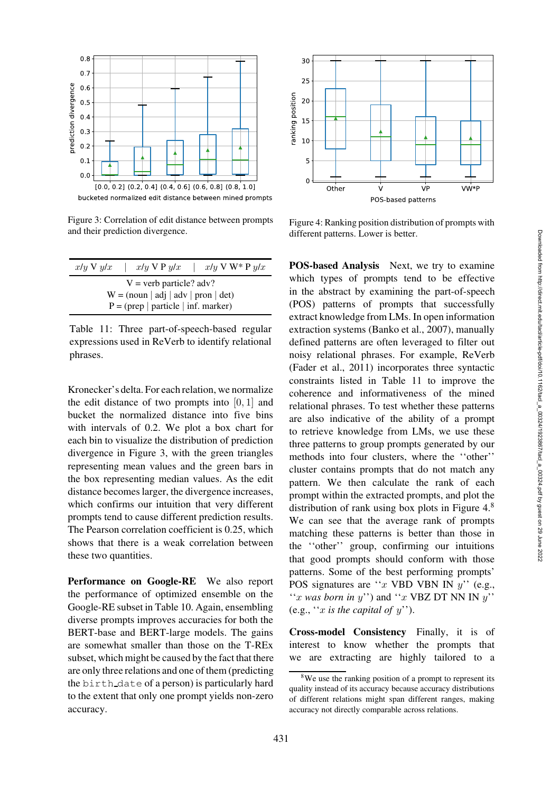

<span id="page-8-0"></span>Figure 3: Correlation of edit distance between prompts and their prediction divergence.

| $x/y \vee y/x$ | $x/u \vee P u/x$                      | $x/u \vee W^* P u/x$ |  |  |  |
|----------------|---------------------------------------|----------------------|--|--|--|
|                | $V =$ verb particle? adv?             |                      |  |  |  |
|                | $W = (noun   adj   adv   pron   det)$ |                      |  |  |  |
|                | $P = (prep   particle   inf. marker)$ |                      |  |  |  |

<span id="page-8-1"></span>Table 11: Three part-of-speech-based regular expressions used in ReVerb to identify relational phrases.

Kronecker's delta. For each relation, we normalize the edit distance of two prompts into  $[0, 1]$  and bucket the normalized distance into five bins with intervals of 0.2. We plot a box chart for each bin to visualize the distribution of prediction divergence in [Figure 3,](#page-8-0) with the green triangles representing mean values and the green bars in the box representing median values. As the edit distance becomes larger, the divergence increases, which confirms our intuition that very different prompts tend to cause different prediction results. The Pearson correlation coefficient is 0.25, which shows that there is a weak correlation between these two quantities.

Performance on Google-RE We also report the performance of optimized ensemble on the Google-RE subset in [Table 10.](#page-7-3) Again, ensembling diverse prompts improves accuracies for both the BERT-base and BERT-large models. The gains are somewhat smaller than those on the T-REx subset, which might be caused by the fact that there are only three relations and one of them (predicting the birth date of a person) is particularly hard to the extent that only one prompt yields non-zero accuracy.



<span id="page-8-2"></span>Figure 4: Ranking position distribution of prompts with different patterns. Lower is better.

POS-based Analysis Next, we try to examine which types of prompts tend to be effective in the abstract by examining the part-of-speech (POS) patterns of prompts that successfully extract knowledge from LMs. In open information extraction systems [\(Banko et al., 2007\)](#page-11-3), manually defined patterns are often leveraged to filter out noisy relational phrases. For example, ReVerb [\(Fader et al., 2011](#page-12-5)) incorporates three syntactic constraints listed in [Table 11](#page-8-1) to improve the coherence and informativeness of the mined relational phrases. To test whether these patterns are also indicative of the ability of a prompt to retrieve knowledge from LMs, we use these three patterns to group prompts generated by our methods into four clusters, where the ''other'' cluster contains prompts that do not match any pattern. We then calculate the rank of each prompt within the extracted prompts, and plot the distribution of rank using box plots in Figure  $4<sup>8</sup>$  $4<sup>8</sup>$  $4<sup>8</sup>$ We can see that the average rank of prompts matching these patterns is better than those in the ''other'' group, confirming our intuitions that good prompts should conform with those patterns. Some of the best performing prompts' POS signatures are " $x$  VBD VBN IN  $y$ " (e.g., "x *was born in*  $y$ ") and "x VBZ DT NN IN  $y$ " (e.g., ''x *is the capital of* y'').

Cross-model Consistency Finally, it is of interest to know whether the prompts that we are extracting are highly tailored to a

<span id="page-8-3"></span><sup>&</sup>lt;sup>8</sup>We use the ranking position of a prompt to represent its quality instead of its accuracy because accuracy distributions of different relations might span different ranges, making accuracy not directly comparable across relations.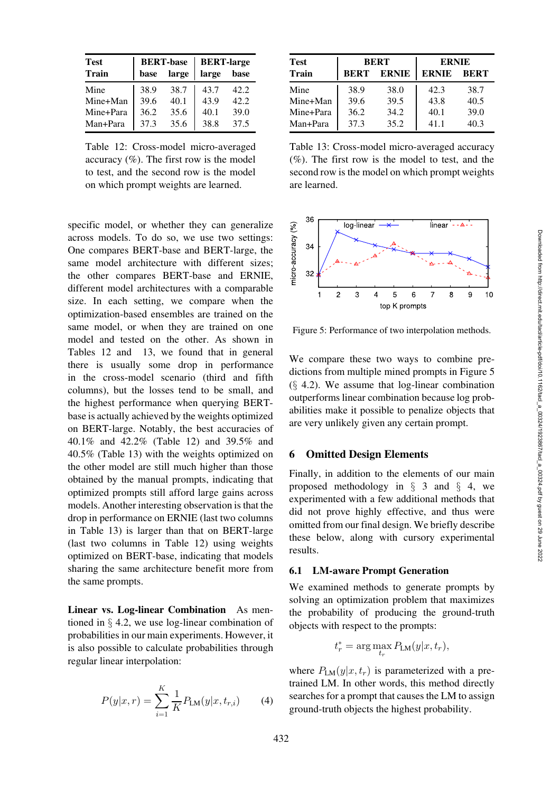| <b>Test</b>  |      | <b>BERT-base</b> | <b>BERT-large</b> |      |  |
|--------------|------|------------------|-------------------|------|--|
| <b>Train</b> | base | large            | large             | base |  |
| Mine         | 38.9 | 38.7             | 43.7              | 42.2 |  |
| Mine+Man     | 39.6 | 40.1             | 43.9              | 42.2 |  |
| Mine+Para    | 36.2 | 35.6             | 40.1              | 39.0 |  |
| Man+Para     | 37.3 | 35.6             | 38.8              | 37.5 |  |

<span id="page-9-1"></span>Table 12: Cross-model micro-averaged accuracy  $(\%)$ . The first row is the model to test, and the second row is the model on which prompt weights are learned.

specific model, or whether they can generalize across models. To do so, we use two settings: One compares BERT-base and BERT-large, the same model architecture with different sizes; the other compares BERT-base and ERNIE, different model architectures with a comparable size. In each setting, we compare when the optimization-based ensembles are trained on the same model, or when they are trained on one model and tested on the other. As shown in [Tables 12](#page-9-1) and [13,](#page-9-2) we found that in general there is usually some drop in performance in the cross-model scenario (third and fifth columns), but the losses tend to be small, and the highest performance when querying BERTbase is actually achieved by the weights optimized on BERT-large. Notably, the best accuracies of 40.1% and 42.2% [\(Table 12\)](#page-9-1) and 39.5% and 40.5% [\(Table 13\)](#page-9-2) with the weights optimized on the other model are still much higher than those obtained by the manual prompts, indicating that optimized prompts still afford large gains across models. Another interesting observation is that the drop in performance on ERNIE (last two columns in [Table 13\)](#page-9-2) is larger than that on BERT-large (last two columns in [Table 12\)](#page-9-1) using weights optimized on BERT-base, indicating that models sharing the same architecture benefit more from the same prompts.

<span id="page-9-0"></span>Linear vs. Log-linear Combination As mentioned in § [4.2,](#page-3-4) we use log-linear combination of probabilities in our main experiments. However, it is also possible to calculate probabilities through regular linear interpolation:

$$
P(y|x,r) = \sum_{i=1}^{K} \frac{1}{K} P_{LM}(y|x,t_{r,i})
$$
 (4)

| <b>Test</b>  | <b>BERT</b> |              | <b>ERNIE</b> |             |  |
|--------------|-------------|--------------|--------------|-------------|--|
| <b>Train</b> | <b>BERT</b> | <b>ERNIE</b> | <b>ERNIE</b> | <b>BERT</b> |  |
| Mine         | 38.9        | 38.0         | 42.3         | 38.7        |  |
| Mine+Man     | 39.6        | 39.5         | 43.8         | 40.5        |  |
| Mine+Para    | 36.2        | 34.2         | 40.1         | 39.0        |  |
| Man+Para     | 37.3        | 35.2         | 41.1         | 40.3        |  |

<span id="page-9-2"></span>Table 13: Cross-model micro-averaged accuracy (%). The first row is the model to test, and the second row is the model on which prompt weights are learned.



<span id="page-9-3"></span>Figure 5: Performance of two interpolation methods.

We compare these two ways to combine predictions from multiple mined prompts in [Figure 5](#page-9-3)  $(§ 4.2)$  $(§ 4.2)$ . We assume that log-linear combination outperforms linear combination because log probabilities make it possible to penalize objects that are very unlikely given any certain prompt.

#### 6 Omitted Design Elements

Finally, in addition to the elements of our main proposed methodology in  $\S$  [3](#page-2-0) and  $\S$  [4,](#page-3-0) we experimented with a few additional methods that did not prove highly effective, and thus were omitted from our final design. We briefly describe these below, along with cursory experimental results.

## 6.1 LM-aware Prompt Generation

We examined methods to generate prompts by solving an optimization problem that maximizes the probability of producing the ground-truth objects with respect to the prompts:

$$
t_r^* = \arg\max_{t_r} P_{\text{LM}}(y|x, t_r),
$$

where  $P_{LM}(y|x, t_r)$  is parameterized with a pretrained LM. In other words, this method directly searches for a prompt that causes the LM to assign ground-truth objects the highest probability.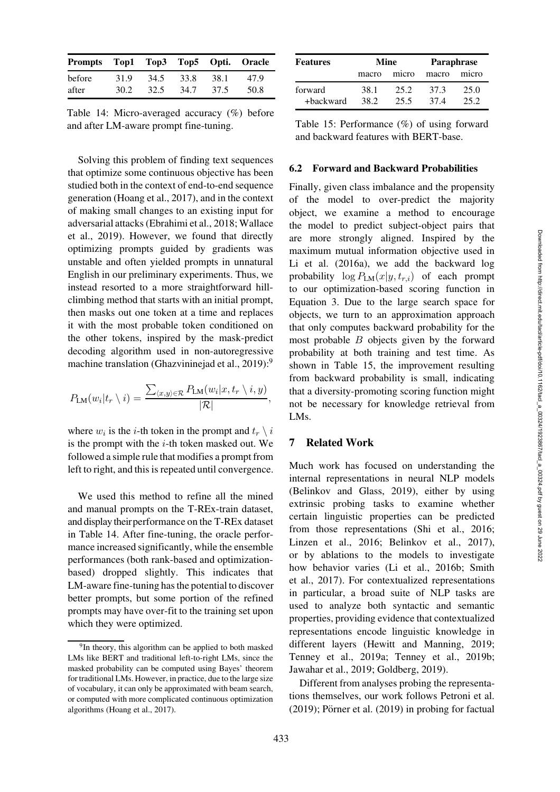| Prompts Top1 Top3 Top5 Opti. Oracle |      |      |      |      |      |
|-------------------------------------|------|------|------|------|------|
| before                              | 31.9 | 34.5 | 33.8 | 38.1 | 47.9 |
| after                               | 30.2 | 32.5 | 34.7 | 37.5 | 50.8 |

<span id="page-10-1"></span>Table 14: Micro-averaged accuracy (%) before and after LM-aware prompt fine-tuning.

Solving this problem of finding text sequences that optimize some continuous objective has been studied both in the context of end-to-end sequence generation [\(Hoang et al.](#page-12-6), [2017](#page-12-6)), and in the context of making small changes to an existing input for adve[rsarial attacks](#page-15-3) [\(Ebrahimi et al.](#page-12-7)[,](#page-15-3) [2018](#page-12-7)[;](#page-15-3) Wallace et al., [2019\)](#page-15-3). However, we found that directly optimizing prompts guided by gradients was unstable and often yielded prompts in unnatural English in our preliminary experiments. Thus, we instead resorted to a more straightforward hillclimbing method that starts with an initial prompt, then masks out one token at a time and replaces it with the most probable token conditioned on the other tokens, inspired by the mask-predict decoding algorithm used in non-autoregressive machine translation [\(Ghazvininejad et al.](#page-12-8), [2019](#page-12-8)):<sup>[9](#page-10-0)</sup>

$$
P_{LM}(w_i|t_r \setminus i) = \frac{\sum_{\langle x,y \rangle \in \mathcal{R}} P_{LM}(w_i|x, t_r \setminus i, y)}{|\mathcal{R}|},
$$

where  $w_i$  is the *i*-th token in the prompt and  $t_r \setminus i$ is the prompt with the  $i$ -th token masked out. We followed a simple rule that modifies a prompt from left to right, and this is repeated until convergence.

We used this method to refine all the mined and manual prompts on the T-REx-train dataset, and display their performance on the T-REx dataset in [Table 14.](#page-10-1) After fine-tuning, the oracle performance increased significantly, while the ensemble performances (both rank-based and optimizationbased) dropped slightly. This indicates that LM-aware fine-tuning has the potential to discover better prompts, but some portion of the refined prompts may have over-fit to the training set upon which they were optimized.

| <b>Features</b>      | Mine         |              | <b>Paraphrase</b> |              |  |
|----------------------|--------------|--------------|-------------------|--------------|--|
|                      | macro        | micro        | macro             | micro        |  |
| forward<br>+backward | 38.1<br>38.2 | 25.2<br>25.5 | 37.3<br>374       | 25.0<br>25.2 |  |

<span id="page-10-2"></span>Table 15: Performance (%) of using forward and backward features with BERT-base.

## 6.2 Forward and Backward Probabilities

Finally, given class imbalance and the propensity of the model to over-predict the majority object, we examine a method to encourage the model to predict subject-object pairs that are more strongly aligned. Inspired by the maximum mutual information objective used in [Li et al.](#page-13-8) [\(2016a\)](#page-13-8), we add the backward log probability  $\log P_{LM}(x|y, t_{r,i})$  of each prompt to our optimization-based scoring function in Equation [3.](#page-3-6) Due to the large search space for objects, we turn to an approximation approach that only computes backward probability for the most probable  $B$  objects given by the forward probability at both training and test time. As shown in [Table 15,](#page-10-2) the improvement resulting from backward probability is small, indicating that a diversity-promoting scoring function might not be necessary for knowledge retrieval from LMs.

# 7 Related Work

Much work has focused on understanding the internal representations in neural NLP models [\(Belinkov and Glass, 2019\)](#page-11-4), either by using extrinsic probing tasks to examine whether certain linguistic properties can be predicted from those representations [\(Shi et al., 2016;](#page-14-9) [Linzen et al.](#page-13-9), [2016](#page-13-9); [Belinkov et al.](#page-11-5), [2017](#page-11-5)), or by ablations to the models to investigate how [behavior varies](#page-14-10) [\(Li et al.](#page-13-10)[,](#page-14-10) [2016b](#page-13-10)[;](#page-14-10) Smith et al., [2017\)](#page-14-10). For contextualized representations in particular, a broad suite of NLP tasks are used to analyze both syntactic and semantic properties, providing evidence that contextualized representations encode linguistic knowledge in different layers [\(Hewitt and Manning](#page-12-9), [2019;](#page-12-9) [Tenney et al., 2019a;](#page-14-11) [Tenney et al.](#page-14-12), [2019b;](#page-14-12) [Jawahar et al.](#page-13-11), [2019](#page-13-11); [Goldberg](#page-12-10), [2019\)](#page-12-10).

Different from analyses probing the representations themselves, our work follows [Petroni et al.](#page-14-3)  $(2019)$  $(2019)$ ; Pörner et al.  $(2019)$  in probing for factual

<span id="page-10-0"></span><sup>&</sup>lt;sup>9</sup>In theory, this algorithm can be applied to both masked LMs like BERT and traditional left-to-right LMs, since the masked probability can be computed using Bayes' theorem for traditional LMs. However, in practice, due to the large size of vocabulary, it can only be approximated with beam search, or computed with more complicated continuous optimization algorithms [\(Hoang et al.](#page-12-6), [2017\)](#page-12-6).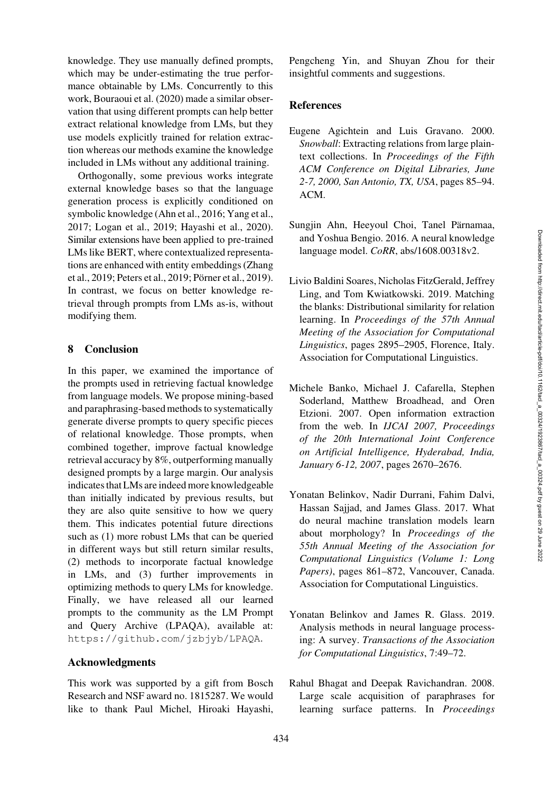knowledge. They use manually defined prompts, which may be under-estimating the true performance obtainable by LMs. Concurrently to this work, [Bouraoui et al. \(2020](#page-12-11)) made a similar observation that using different prompts can help better extract relational knowledge from LMs, but they use models explicitly trained for relation extraction whereas our methods examine the knowledge included in LMs without any additional training.

Orthogonally, some previous works integrate external knowledge bases so that the language generation process is explicitly conditioned on symbolic knowledge [\(Ahn et al., 2016](#page-11-6); [Yang et al.,](#page-15-4) [2017](#page-15-4); [Logan et al.](#page-12-12), [2019](#page-12-12); [Hayashi et al.](#page-12-13), [2020\)](#page-12-13). Similar extensions have been applied to pre-trained LMs like BERT, where contextualized representation[s are enhanced with entity embeddings \(](#page-15-2)Zhang et al., [2019](#page-15-2); [Peters et al., 2019](#page-13-5); Pörner et al., [2019\)](#page-14-8). In contrast, we focus on better knowledge retrieval through prompts from LMs as-is, without modifying them.

## 8 Conclusion

In this paper, we examined the importance of the prompts used in retrieving factual knowledge from language models. We propose mining-based and paraphrasing-based methods to systematically generate diverse prompts to query specific pieces of relational knowledge. Those prompts, when combined together, improve factual knowledge retrieval accuracy by 8%, outperforming manually designed prompts by a large margin. Our analysis indicates that LMs are indeed more knowledgeable than initially indicated by previous results, but they are also quite sensitive to how we query them. This indicates potential future directions such as (1) more robust LMs that can be queried in different ways but still return similar results, (2) methods to incorporate factual knowledge in LMs, and (3) further improvements in optimizing methods to query LMs for knowledge. Finally, we have released all our learned prompts to the community as the LM Prompt and Query Archive (LPAQA), available at: <https://github.com/jzbjyb/LPAQA>.

#### Acknowledgments

This work was supported by a gift from Bosch Research and NSF award no. 1815287. We would like to thank Paul Michel, Hiroaki Hayashi, Pengcheng Yin, and Shuyan Zhou for their insightful comments and suggestions.

#### References

- <span id="page-11-1"></span>Eugene Agichtein and Luis Gravano. 2000. *Snowball*: Extracting relations from large plaintext collections. In *Proceedings of the Fifth ACM Conference on Digital Libraries, June 2-7, 2000, San Antonio, TX, USA*, pages 85–94. ACM.
- <span id="page-11-6"></span>Sungjin Ahn, Heeyoul Choi, Tanel Pärnamaa, and Yoshua Bengio. 2016. A neural knowledge language model. *CoRR*, abs/1608.00318v2.
- <span id="page-11-0"></span>Livio Baldini Soares, Nicholas FitzGerald, Jeffrey Ling, and Tom Kwiatkowski. 2019. Matching the blanks: Distributional similarity for relation learning. In *Proceedings of the 57th Annual Meeting of the Association for Computational Linguistics*, pages 2895–2905, Florence, Italy. Association for Computational Linguistics.
- <span id="page-11-3"></span>Michele Banko, Michael J. Cafarella, Stephen Soderland, Matthew Broadhead, and Oren Etzioni. 2007. Open information extraction from the web. In *IJCAI 2007, Proceedings of the 20th International Joint Conference on Artificial Intelligence, Hyderabad, India, January 6-12, 2007*, pages 2670–2676.
- <span id="page-11-5"></span>Yonatan Belinkov, Nadir Durrani, Fahim Dalvi, Hassan Sajjad, and James Glass. 2017. What do neural machine translation models learn about morphology? In *Proceedings of the 55th Annual Meeting of the Association for Computational Linguistics (Volume 1: Long Papers)*, pages 861–872, Vancouver, Canada. Association for Computational Linguistics.
- <span id="page-11-4"></span>Yonatan Belinkov and James R. Glass. 2019. Analysis methods in neural language processing: A survey. *Transactions of the Association for Computational Linguistics*, 7:49–72.
- <span id="page-11-2"></span>Rahul Bhagat and Deepak Ravichandran. 2008. Large scale acquisition of paraphrases for learning surface patterns. In *Proceedings*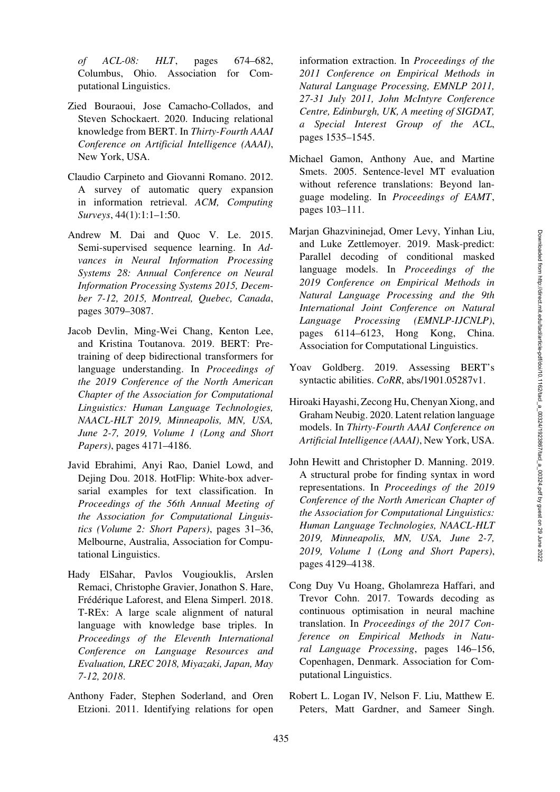*of ACL-08: HLT*, pages 674–682, Columbus, Ohio. Association for Computational Linguistics.

- <span id="page-12-11"></span>Zied Bouraoui, Jose Camacho-Collados, and Steven Schockaert. 2020. Inducing relational knowledge from BERT. In *Thirty-Fourth AAAI Conference on Artificial Intelligence (AAAI)*, New York, USA.
- <span id="page-12-3"></span>Claudio Carpineto and Giovanni Romano. 2012. A survey of automatic query expansion in information retrieval. *ACM, Computing Surveys*, 44(1):1:1–1:50.
- <span id="page-12-1"></span>Andrew M. Dai and Quoc V. Le. 2015. Semi-supervised sequence learning. In *Advances in Neural Information Processing Systems 28: Annual Conference on Neural Information Processing Systems 2015, December 7-12, 2015, Montreal, Quebec, Canada*, pages 3079–3087.
- <span id="page-12-2"></span>Jacob Devlin, Ming-Wei Chang, Kenton Lee, and Kristina Toutanova. 2019. BERT: Pretraining of deep bidirectional transformers for language understanding. In *Proceedings of the 2019 Conference of the North American Chapter of the Association for Computational Linguistics: Human Language Technologies, NAACL-HLT 2019, Minneapolis, MN, USA, June 2-7, 2019, Volume 1 (Long and Short Papers)*, pages 4171–4186.
- <span id="page-12-7"></span>Javid Ebrahimi, Anyi Rao, Daniel Lowd, and Dejing Dou. 2018. HotFlip: White-box adversarial examples for text classification. In *Proceedings of the 56th Annual Meeting of the Association for Computational Linguistics (Volume 2: Short Papers)*, pages 31–36, Melbourne, Australia, Association for Computational Linguistics.
- <span id="page-12-4"></span>Hady ElSahar, Pavlos Vougiouklis, Arslen Remaci, Christophe Gravier, Jonathon S. Hare, Frédérique Laforest, and Elena Simperl. 2018. T-REx: A large scale alignment of natural language with knowledge base triples. In *Proceedings of the Eleventh International Conference on Language Resources and Evaluation, LREC 2018, Miyazaki, Japan, May 7-12, 2018*.
- <span id="page-12-5"></span>Anthony Fader, Stephen Soderland, and Oren Etzioni. 2011. Identifying relations for open

information extraction. In *Proceedings of the 2011 Conference on Empirical Methods in Natural Language Processing, EMNLP 2011, 27-31 July 2011, John McIntyre Conference Centre, Edinburgh, UK, A meeting of SIGDAT, a Special Interest Group of the ACL*, pages 1535–1545.

- <span id="page-12-0"></span>Michael Gamon, Anthony Aue, and Martine Smets. 2005. Sentence-level MT evaluation without reference translations: Beyond language modeling. In *Proceedings of EAMT*, pages 103–111.
- <span id="page-12-8"></span>Marjan Ghazvininejad, Omer Levy, Yinhan Liu, and Luke Zettlemoyer. 2019. Mask-predict: Parallel decoding of conditional masked language models. In *Proceedings of the 2019 Conference on Empirical Methods in Natural Language Processing and the 9th International Joint Conference on Natural Language Processing (EMNLP-IJCNLP)*, pages 6114–6123, Hong Kong, China. Association for Computational Linguistics.
- <span id="page-12-10"></span>Yoav Goldberg. 2019. Assessing BERT's syntactic abilities. *CoRR*, abs/1901.05287v1.
- <span id="page-12-13"></span>Hiroaki Hayashi, Zecong Hu, Chenyan Xiong, and Graham Neubig. 2020. Latent relation language models. In *Thirty-Fourth AAAI Conference on Artificial Intelligence (AAAI)*, New York, USA.
- <span id="page-12-9"></span>John Hewitt and Christopher D. Manning. 2019. A structural probe for finding syntax in word representations. In *Proceedings of the 2019 Conference of the North American Chapter of the Association for Computational Linguistics: Human Language Technologies, NAACL-HLT 2019, Minneapolis, MN, USA, June 2-7, 2019, Volume 1 (Long and Short Papers)*, pages 4129–4138.
- <span id="page-12-6"></span>Cong Duy Vu Hoang, Gholamreza Haffari, and Trevor Cohn. 2017. Towards decoding as continuous optimisation in neural machine translation. In *Proceedings of the 2017 Conference on Empirical Methods in Natural Language Processing*, pages 146–156, Copenhagen, Denmark. Association for Computational Linguistics.
- <span id="page-12-12"></span>Robert L. Logan IV, Nelson F. Liu, Matthew E. Peters, Matt Gardner, and Sameer Singh.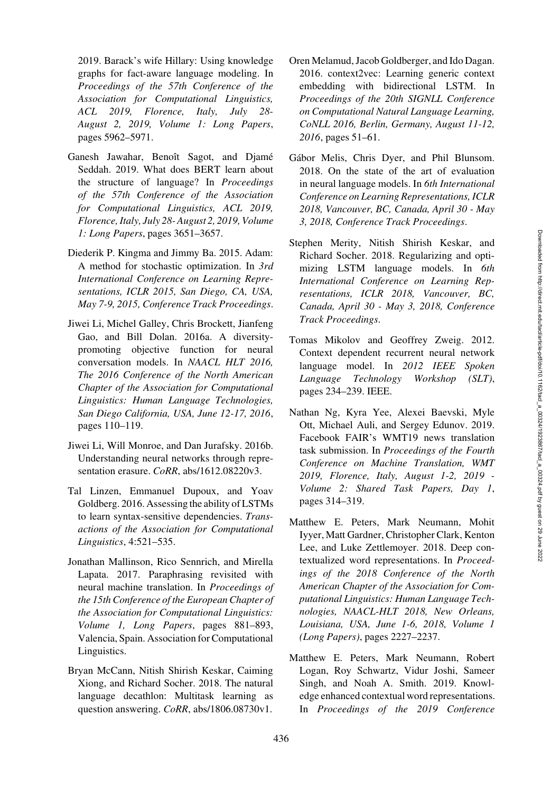2019. Barack's wife Hillary: Using knowledge graphs for fact-aware language modeling. In *Proceedings of the 57th Conference of the Association for Computational Linguistics, ACL 2019, Florence, Italy, July 28- August 2, 2019, Volume 1: Long Papers*, pages 5962–5971.

- <span id="page-13-11"></span>Ganesh Jawahar, Benoît Sagot, and Djamé Seddah. 2019. What does BERT learn about the structure of language? In *Proceedings of the 57th Conference of the Association for Computational Linguistics, ACL 2019, Florence, Italy, July 28- August 2, 2019, Volume 1: Long Papers*, pages 3651–3657.
- <span id="page-13-7"></span>Diederik P. Kingma and Jimmy Ba. 2015. Adam: A method for stochastic optimization. In *3rd International Conference on Learning Representations, ICLR 2015, San Diego, CA, USA, May 7-9, 2015, Conference Track Proceedings*.
- <span id="page-13-8"></span>Jiwei Li, Michel Galley, Chris Brockett, Jianfeng Gao, and Bill Dolan. 2016a. A diversitypromoting objective function for neural conversation models. In *NAACL HLT 2016, The 2016 Conference of the North American Chapter of the Association for Computational Linguistics: Human Language Technologies, San Diego California, USA, June 12-17, 2016*, pages 110–119.
- <span id="page-13-10"></span>Jiwei Li, Will Monroe, and Dan Jurafsky. 2016b. Understanding neural networks through representation erasure. *CoRR*, abs/1612.08220v3.
- <span id="page-13-9"></span>Tal Linzen, Emmanuel Dupoux, and Yoav Goldberg. 2016. Assessing the ability of LSTMs to learn syntax-sensitive dependencies. *Transactions of the Association for Computational Linguistics*, 4:521–535.
- <span id="page-13-4"></span>Jonathan Mallinson, Rico Sennrich, and Mirella Lapata. 2017. Paraphrasing revisited with neural machine translation. In *Proceedings of the 15th Conference of the European Chapter of the Association for Computational Linguistics: Volume 1, Long Papers*, pages 881–893, Valencia, Spain. Association for Computational Linguistics.
- <span id="page-13-3"></span>Bryan McCann, Nitish Shirish Keskar, Caiming Xiong, and Richard Socher. 2018. The natural language decathlon: Multitask learning as question answering. *CoRR*, abs/1806.08730v1.
- <span id="page-13-1"></span>Oren Melamud, Jacob Goldberger, and Ido Dagan. 2016. context2vec: Learning generic context embedding with bidirectional LSTM. In *Proceedings of the 20th SIGNLL Conference on Computational Natural Language Learning, CoNLL 2016, Berlin, Germany, August 11-12, 2016*, pages 51–61.
- Gábor Melis, Chris Dyer, and Phil Blunsom. 2018. On the state of the art of evaluation in neural language models. In *6th International Conference on Learning Representations, ICLR 2018, Vancouver, BC, Canada, April 30 - May 3, 2018, Conference Track Proceedings*.
- Stephen Merity, Nitish Shirish Keskar, and Richard Socher. 2018. Regularizing and optimizing LSTM language models. In *6th International Conference on Learning Representations, ICLR 2018, Vancouver, BC, Canada, April 30 - May 3, 2018, Conference Track Proceedings*.
- <span id="page-13-0"></span>Tomas Mikolov and Geoffrey Zweig. 2012. Context dependent recurrent neural network language model. In *2012 IEEE Spoken Language Technology Workshop (SLT)*, pages 234–239. IEEE.
- <span id="page-13-6"></span>Nathan Ng, Kyra Yee, Alexei Baevski, Myle Ott, Michael Auli, and Sergey Edunov. 2019. Facebook FAIR's WMT19 news translation task submission. In *Proceedings of the Fourth Conference on Machine Translation, WMT 2019, Florence, Italy, August 1-2, 2019 - Volume 2: Shared Task Papers, Day 1*, pages 314–319.
- <span id="page-13-2"></span>Matthew E. Peters, Mark Neumann, Mohit Iyyer, Matt Gardner, Christopher Clark, Kenton Lee, and Luke Zettlemoyer. 2018. Deep contextualized word representations. In *Proceedings of the 2018 Conference of the North American Chapter of the Association for Computational Linguistics: Human Language Technologies, NAACL-HLT 2018, New Orleans, Louisiana, USA, June 1-6, 2018, Volume 1 (Long Papers)*, pages 2227–2237.
- <span id="page-13-5"></span>Matthew E. Peters, Mark Neumann, Robert Logan, Roy Schwartz, Vidur Joshi, Sameer Singh, and Noah A. Smith. 2019. Knowledge enhanced contextual word representations. In *Proceedings of the 2019 Conference*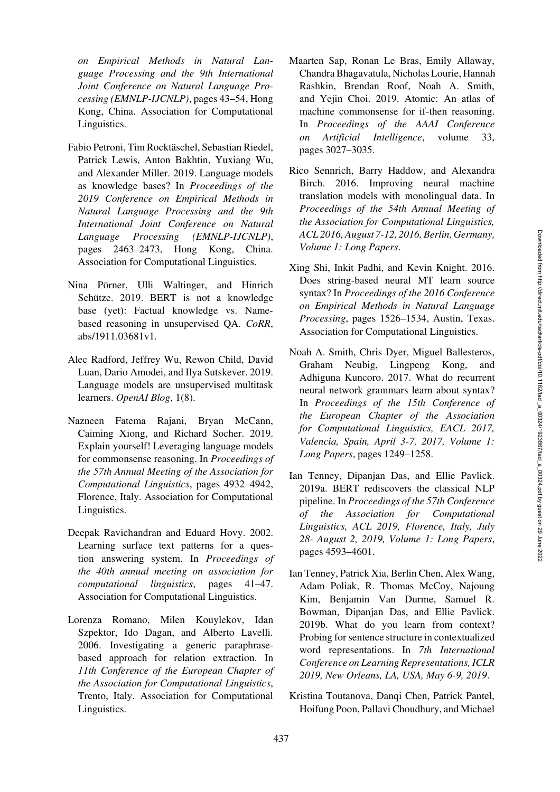*on Empirical Methods in Natural Language Processing and the 9th International Joint Conference on Natural Language Processing (EMNLP-IJCNLP)*, pages 43–54, Hong Kong, China. Association for Computational Linguistics.

- <span id="page-14-3"></span>Fabio Petroni, Tim Rocktäschel, Sebastian Riedel, Patrick Lewis, Anton Bakhtin, Yuxiang Wu, and Alexander Miller. 2019. Language models as knowledge bases? In *Proceedings of the 2019 Conference on Empirical Methods in Natural Language Processing and the 9th International Joint Conference on Natural Language Processing (EMNLP-IJCNLP)*, pages 2463–2473, Hong Kong, China. Association for Computational Linguistics.
- <span id="page-14-8"></span>Nina Pörner, Ulli Waltinger, and Hinrich Schütze. 2019. BERT is not a knowledge base (yet): Factual knowledge vs. Namebased reasoning in unsupervised QA. *CoRR*, abs/1911.03681v1.
- <span id="page-14-0"></span>Alec Radford, Jeffrey Wu, Rewon Child, David Luan, Dario Amodei, and Ilya Sutskever. 2019. Language models are unsupervised multitask learners. *OpenAI Blog*, 1(8).
- <span id="page-14-1"></span>Nazneen Fatema Rajani, Bryan McCann, Caiming Xiong, and Richard Socher. 2019. Explain yourself! Leveraging language models for commonsense reasoning. In *Proceedings of the 57th Annual Meeting of the Association for Computational Linguistics*, pages 4932–4942, Florence, Italy. Association for Computational Linguistics.
- <span id="page-14-4"></span>Deepak Ravichandran and Eduard Hovy. 2002. Learning surface text patterns for a question answering system. In *Proceedings of the 40th annual meeting on association for computational linguistics*, pages 41–47. Association for Computational Linguistics.
- <span id="page-14-6"></span>Lorenza Romano, Milen Kouylekov, Idan Szpektor, Ido Dagan, and Alberto Lavelli. 2006. Investigating a generic paraphrasebased approach for relation extraction. In *11th Conference of the European Chapter of the Association for Computational Linguistics*, Trento, Italy. Association for Computational Linguistics.
- <span id="page-14-2"></span>Maarten Sap, Ronan Le Bras, Emily Allaway, Chandra Bhagavatula, Nicholas Lourie, Hannah Rashkin, Brendan Roof, Noah A. Smith, and Yejin Choi. 2019. Atomic: An atlas of machine commonsense for if-then reasoning. In *Proceedings of the AAAI Conference on Artificial Intelligence*, volume 33, pages 3027–3035.
- <span id="page-14-7"></span>Rico Sennrich, Barry Haddow, and Alexandra Birch. 2016. Improving neural machine translation models with monolingual data. In *Proceedings of the 54th Annual Meeting of the Association for Computational Linguistics, ACL 2016, August 7-12, 2016, Berlin, Germany, Volume 1: Long Papers*.
- <span id="page-14-9"></span>Xing Shi, Inkit Padhi, and Kevin Knight. 2016. Does string-based neural MT learn source syntax? In *Proceedings of the 2016 Conference on Empirical Methods in Natural Language Processing*, pages 1526–1534, Austin, Texas. Association for Computational Linguistics.
- <span id="page-14-10"></span>Noah A. Smith, Chris Dyer, Miguel Ballesteros, Graham Neubig, Lingpeng Kong, and Adhiguna Kuncoro. 2017. What do recurrent neural network grammars learn about syntax? In *Proceedings of the 15th Conference of the European Chapter of the Association for Computational Linguistics, EACL 2017, Valencia, Spain, April 3-7, 2017, Volume 1: Long Papers*, pages 1249–1258.
- <span id="page-14-11"></span>Ian Tenney, Dipanjan Das, and Ellie Pavlick. 2019a. BERT rediscovers the classical NLP pipeline. In *Proceedings of the 57th Conference of the Association for Computational Linguistics, ACL 2019, Florence, Italy, July 28- August 2, 2019, Volume 1: Long Papers*, pages 4593–4601.
- <span id="page-14-12"></span>Ian Tenney, Patrick Xia, Berlin Chen, Alex Wang, Adam Poliak, R. Thomas McCoy, Najoung Kim, Benjamin Van Durme, Samuel R. Bowman, Dipanjan Das, and Ellie Pavlick. 2019b. What do you learn from context? Probing for sentence structure in contextualized word representations. In *7th International Conference on Learning Representations, ICLR 2019, New Orleans, LA, USA, May 6-9, 2019*.
- <span id="page-14-5"></span>Kristina Toutanova, Danqi Chen, Patrick Pantel, Hoifung Poon, Pallavi Choudhury, and Michael